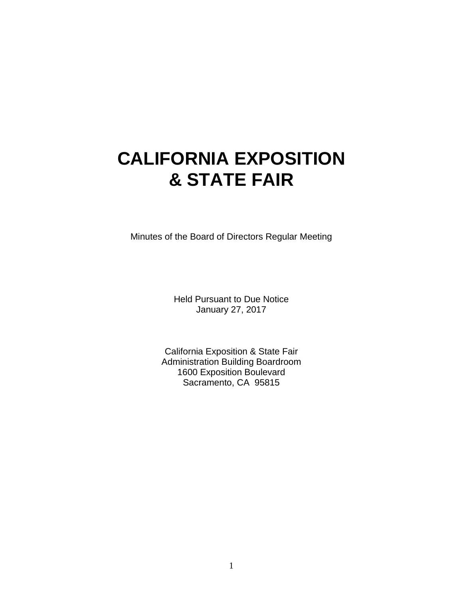# **CALIFORNIA EXPOSITION & STATE FAIR**

Minutes of the Board of Directors Regular Meeting

Held Pursuant to Due Notice January 27, 2017

California Exposition & State Fair Administration Building Boardroom 1600 Exposition Boulevard Sacramento, CA 95815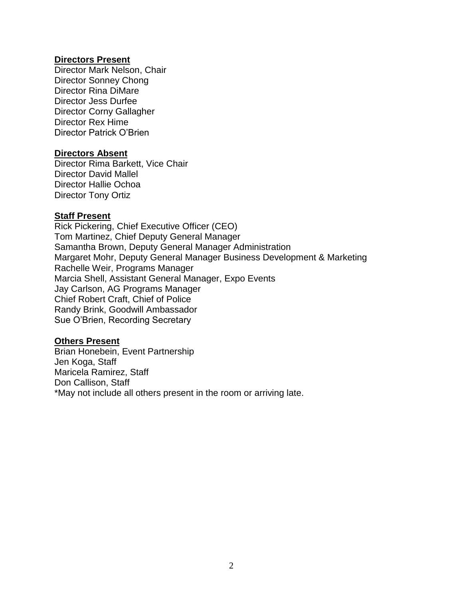#### **Directors Present**

Director Mark Nelson, Chair Director Sonney Chong Director Rina DiMare Director Jess Durfee Director Corny Gallagher Director Rex Hime Director Patrick O'Brien

#### **Directors Absent**

Director Rima Barkett, Vice Chair Director David Mallel Director Hallie Ochoa Director Tony Ortiz

#### **Staff Present**

Rick Pickering, Chief Executive Officer (CEO) Tom Martinez, Chief Deputy General Manager Samantha Brown, Deputy General Manager Administration Margaret Mohr, Deputy General Manager Business Development & Marketing Rachelle Weir, Programs Manager Marcia Shell, Assistant General Manager, Expo Events Jay Carlson, AG Programs Manager Chief Robert Craft, Chief of Police Randy Brink, Goodwill Ambassador Sue O'Brien, Recording Secretary

#### **Others Present**

Brian Honebein, Event Partnership Jen Koga, Staff Maricela Ramirez, Staff Don Callison, Staff \*May not include all others present in the room or arriving late.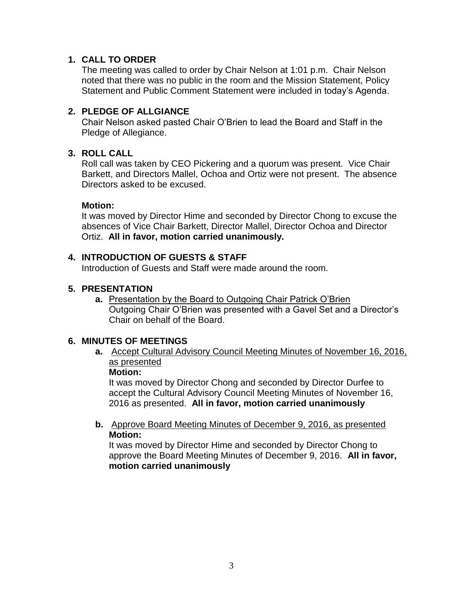## **1. CALL TO ORDER**

The meeting was called to order by Chair Nelson at 1:01 p.m. Chair Nelson noted that there was no public in the room and the Mission Statement, Policy Statement and Public Comment Statement were included in today's Agenda.

## **2. PLEDGE OF ALLGIANCE**

Chair Nelson asked pasted Chair O'Brien to lead the Board and Staff in the Pledge of Allegiance.

## **3. ROLL CALL**

Roll call was taken by CEO Pickering and a quorum was present. Vice Chair Barkett, and Directors Mallel, Ochoa and Ortiz were not present. The absence Directors asked to be excused.

## **Motion:**

It was moved by Director Hime and seconded by Director Chong to excuse the absences of Vice Chair Barkett, Director Mallel, Director Ochoa and Director Ortiz. **All in favor, motion carried unanimously.** 

## **4. INTRODUCTION OF GUESTS & STAFF**

Introduction of Guests and Staff were made around the room.

## **5. PRESENTATION**

**a.** Presentation by the Board to Outgoing Chair Patrick O'Brien Outgoing Chair O'Brien was presented with a Gavel Set and a Director's Chair on behalf of the Board.

## **6. MINUTES OF MEETINGS**

**a.** Accept Cultural Advisory Council Meeting Minutes of November 16, 2016, as presented

## **Motion:**

It was moved by Director Chong and seconded by Director Durfee to accept the Cultural Advisory Council Meeting Minutes of November 16, 2016 as presented. **All in favor, motion carried unanimously**

**b.** Approve Board Meeting Minutes of December 9, 2016, as presented **Motion:**

It was moved by Director Hime and seconded by Director Chong to approve the Board Meeting Minutes of December 9, 2016. **All in favor, motion carried unanimously**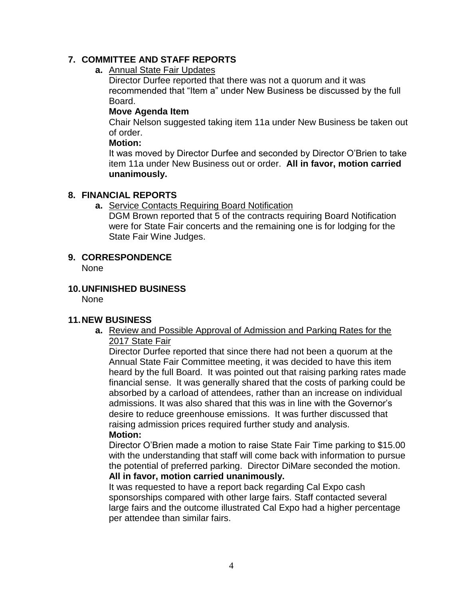## **7. COMMITTEE AND STAFF REPORTS**

## **a.** Annual State Fair Updates

Director Durfee reported that there was not a quorum and it was recommended that "Item a" under New Business be discussed by the full Board.

#### **Move Agenda Item**

Chair Nelson suggested taking item 11a under New Business be taken out of order.

#### **Motion:**

It was moved by Director Durfee and seconded by Director O'Brien to take item 11a under New Business out or order. **All in favor, motion carried unanimously.**

## **8. FINANCIAL REPORTS**

**a.** Service Contacts Requiring Board Notification

DGM Brown reported that 5 of the contracts requiring Board Notification were for State Fair concerts and the remaining one is for lodging for the State Fair Wine Judges.

## **9. CORRESPONDENCE**

None

## **10.UNFINISHED BUSINESS**

None

## **11.NEW BUSINESS**

**a.** Review and Possible Approval of Admission and Parking Rates for the 2017 State Fair

Director Durfee reported that since there had not been a quorum at the Annual State Fair Committee meeting, it was decided to have this item heard by the full Board. It was pointed out that raising parking rates made financial sense. It was generally shared that the costs of parking could be absorbed by a carload of attendees, rather than an increase on individual admissions. It was also shared that this was in line with the Governor's desire to reduce greenhouse emissions. It was further discussed that raising admission prices required further study and analysis. **Motion:**

Director O'Brien made a motion to raise State Fair Time parking to \$15.00 with the understanding that staff will come back with information to pursue the potential of preferred parking. Director DiMare seconded the motion. **All in favor, motion carried unanimously.**

## It was requested to have a report back regarding Cal Expo cash sponsorships compared with other large fairs. Staff contacted several large fairs and the outcome illustrated Cal Expo had a higher percentage per attendee than similar fairs.